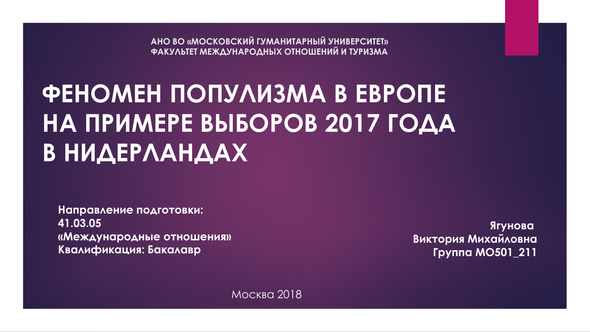**АНО ВО «МОСКОВСКИЙ ГУМАНИТАРНЫЙ УНИВЕРСИТЕТ» ФАКУЛЬТЕТ МЕЖДУНАРОДНЫХ ОТНОШЕНИЙ И ТУРИЗМА**

# **ФЕНОМЕН ПОПУЛИЗМА В ЕВРОПЕ НА ПРИМЕРЕ ВЫБОРОВ 2017 ГОДА В НИДЕРЛАНДАХ**

**Направление подготовки: 41.03.05 «Международные отношения» Квалификация: Бакалавр**

**Ягунова Виктория Михайловна Группа МО501\_211**

Москва 2018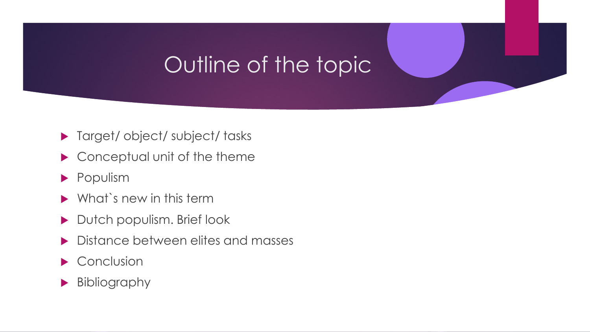### Outline of the topic

- ▶ Target/ object/ subject/ tasks
- ▶ Conceptual unit of the theme
- **Populism**
- $\blacktriangleright$  What's new in this term
- Dutch populism. Brief look
- Distance between elites and masses
- $\blacktriangleright$  Conclusion
- Bibliography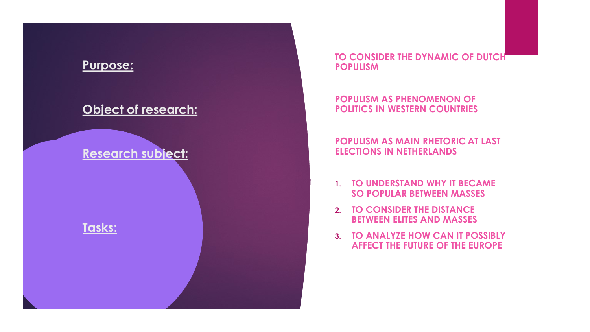

**TO CONSIDER THE DYNAMIC OF DUTCH POPULISM** 

#### **POPULISM AS PHENOMENON OF POLITICS IN WESTERN COUNTRIES**

#### **POPULISM AS MAIN RHETORIC AT LAST ELECTIONS IN NETHERLANDS**

- **1. TO UNDERSTAND WHY IT BECAME SO POPULAR BETWEEN MASSES**
- **2. TO CONSIDER THE DISTANCE BETWEEN ELITES AND MASSES**
- **3. TO ANALYZE HOW CAN IT POSSIBLY AFFECT THE FUTURE OF THE EUROPE**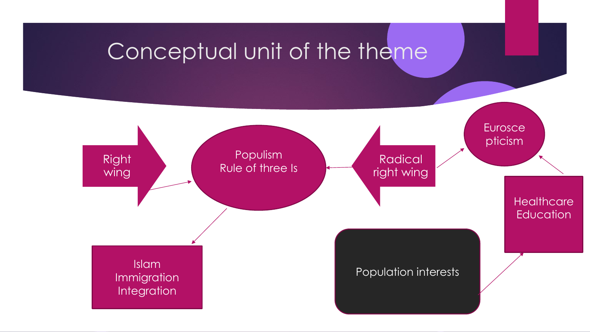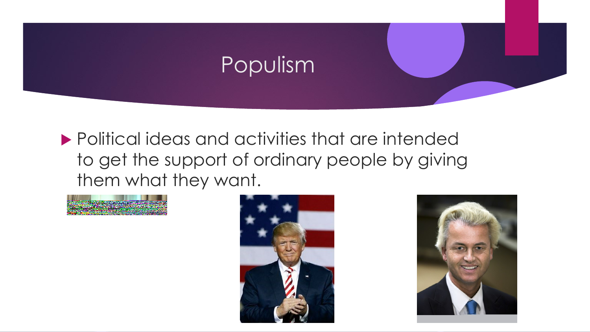

 Political ideas and activities that are intended to get the support of ordinary people by giving them what they want.





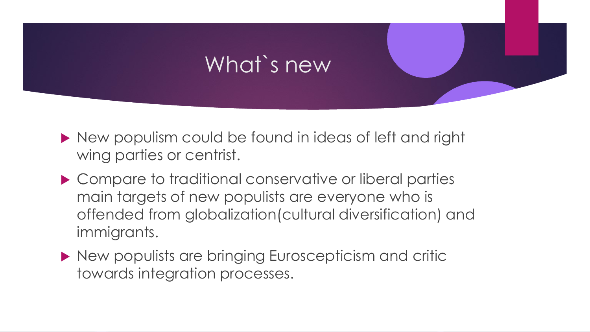## What`s new

- New populism could be found in ideas of left and right wing parties or centrist.
- ▶ Compare to traditional conservative or liberal parties main targets of new populists are everyone who is offended from globalization(cultural diversification) and immigrants.
- ▶ New populists are bringing Euroscepticism and critic towards integration processes.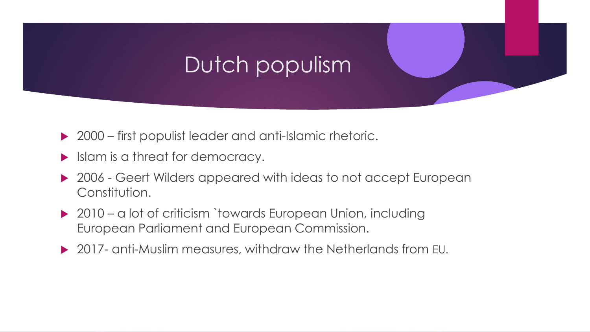## Dutch populism

- ▶ 2000 first populist leader and anti-Islamic rhetoric.
- Islam is a threat for democracy.
- ▶ 2006 Geert Wilders appeared with ideas to not accept European Constitution.
- ▶ 2010 a lot of criticism `towards European Union, including European Parliament and European Commission.
- ▶ 2017- anti-Muslim measures, withdraw the Netherlands from EU.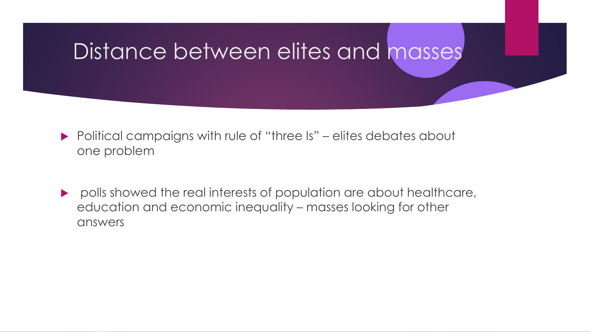#### Distance between elites and masses

- Political campaigns with rule of "three Is" elites debates about one problem
- polls showed the real interests of population are about healthcare, education and economic inequality – masses looking for other answers